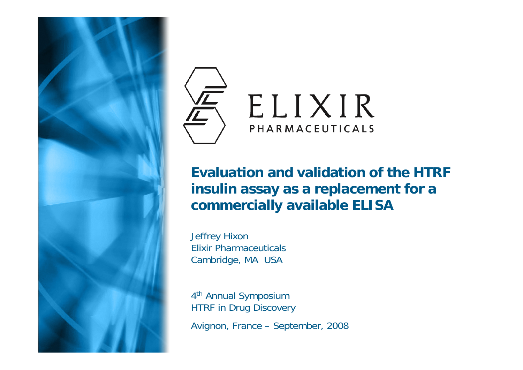



#### **Evaluation and validation of the HTRF insulin assay as a replacement for a commercially available ELISA**

Jeffrey Hixon Elixir PharmaceuticalsCambridge, MA USA

4th Annual Symposium HTRF in Drug Discovery

Avignon, France – September, 2008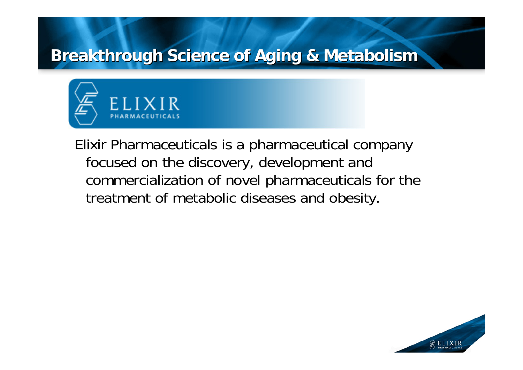### **Breakthrough Science of Aging & Metabolism Breakthrough Science of Aging & Metabolism**



Elixir Pharmaceuticals is a pharmaceutical company focused on the discovery, development and commercialization of novel pharmaceuticals for the treatment of metabolic diseases and obesity.

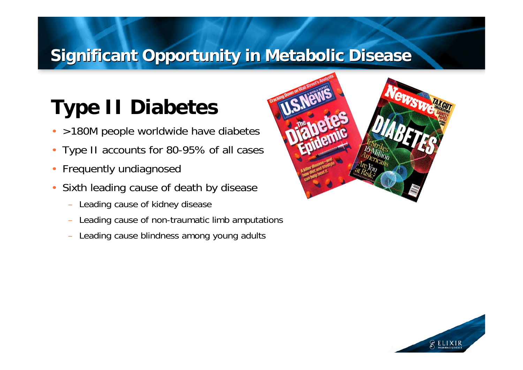### **Significant Opportunity in Metabolic Disease**

# **Type II Diabetes**

- •>180M people worldwide have diabetes
- Type II accounts for 80-95% of all cases
- •Frequently undiagnosed
- • Sixth leading cause of death by disease
	- Leading cause of kidney disease
	- Leading cause of non-traumatic limb amputations
	- Leading cause blindness among young adults



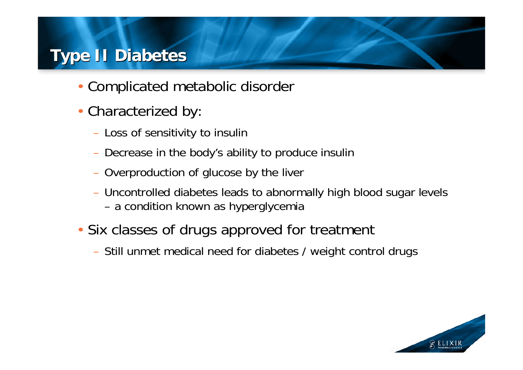### **Type II Diabetes Type II Diabetes**

- Complicated metabolic disorder
- Characterized by:
	- Loss of sensitivity to insulin
	- Decrease in the body's ability to produce insulin
	- Overproduction of glucose by the liver
	- Uncontrolled diabetes leads to abnormally high blood sugar levels a condition known as hyperglycemia
- Six classes of drugs approved for treatment
	- Still unmet medical need for diabetes / weight control drugs

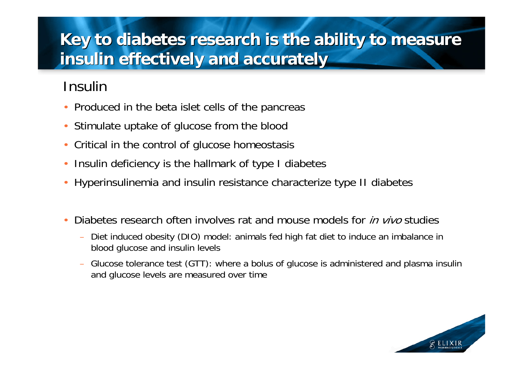### **Key to diabetes research is the ability to measure Key to diabetes research is the ability to measure insulin effectively and accurately insulin effectively and accurately**

#### Insulin

- Produced in the beta islet cells of the pancreas
- •Stimulate uptake of glucose from the blood
- •Critical in the control of glucose homeostasis
- •Insulin deficiency is the hallmark of type I diabetes
- •Hyperinsulinemia and insulin resistance characterize type II diabetes
- •• Diabetes research often involves rat and mouse models for *in vivo* studies
	- Diet induced obesity (DIO) model: animals fed high fat diet to induce an imbalance in blood glucose and insulin levels
	- Glucose tolerance test (GTT): where a bolus of glucose is administered and plasma insulin and glucose levels are measured over time

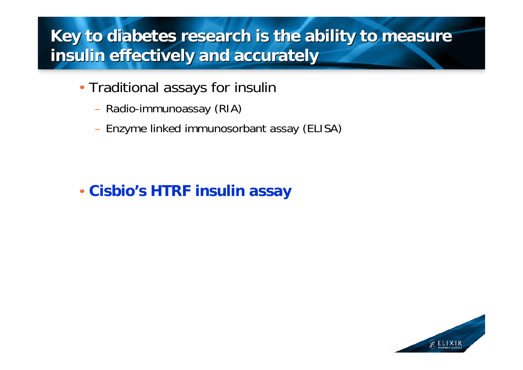### **Key to diabetes research is the ability to measure Key to diabetes research is the ability to measure insulin effectively and accurately insulin effectively and accurately**

- Traditional assays for insulin
	- Radio-immunoassay (RIA)
	- Enzyme linked immunosorbant assay (ELISA)

#### • **Cisbio's HTRF insulin assay**

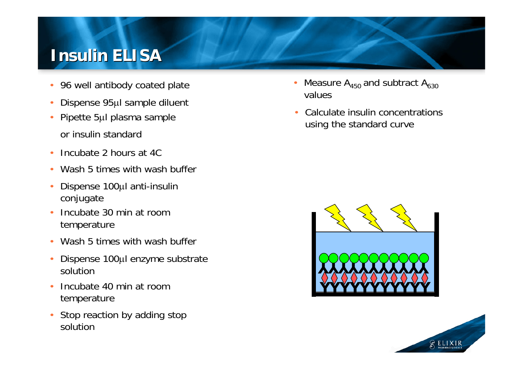#### **Insulin ELISA Insulin ELISA**

- 96 well antibody coated plate
- •Dispense 95μl sample diluent
- Pipette 5μl plasma sample or insulin standard
- Incubate 2 hours at 4C
- •Wash 5 times with wash buffer
- • Dispense 100μl anti-insulin conjugate
- Incubate 30 min at room temperature
- •Wash 5 times with wash buffer
- $\bullet$  Dispense 100μl enzyme substrate solution
- • Incubate 40 min at room temperature
- Stop reaction by adding stop solution
- •Measure  $A_{450}$  and subtract  $A_{630}$ values
- • Calculate insulin concentrations using the standard curve



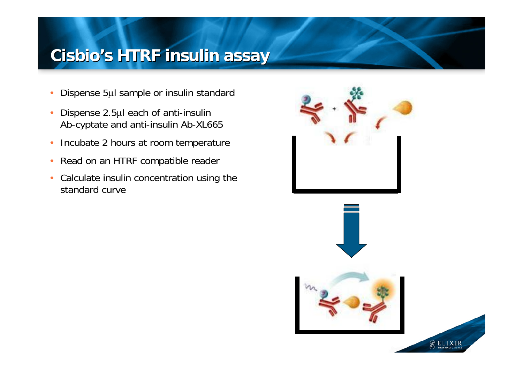### **Cisbio's HTRF insulin assay Cisbio's HTRF insulin assay**

- •Dispense 5μl sample or insulin standard
- • Dispense 2.5μl each of anti-insulin Ab-cyptate and anti-insulin Ab-XL665
- •Incubate 2 hours at room temperature
- •Read on an HTRF compatible reader
- • Calculate insulin concentration using the standard curve



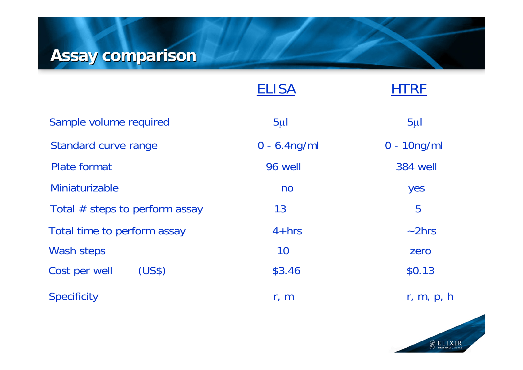## **Assay comparison Assay comparison**

|                                  | <b>ELISA</b>    | HTRF            |
|----------------------------------|-----------------|-----------------|
| Sample volume required           | $5\mu$          | $5\mu$          |
| <b>Standard curve range</b>      | $0 - 6.4$ ng/ml | $0 - 10$ ng/ml  |
| <b>Plate format</b>              | 96 well         | <b>384 well</b> |
| Miniaturizable                   | n <sub>o</sub>  | yes             |
| Total $#$ steps to perform assay | 13              | 5               |
| Total time to perform assay      | $4 + hrs$       | $\sim$ 2hrs     |
| Wash steps                       | 10              | zero            |
| (US\$)<br>Cost per well          | \$3.46          | \$0.13          |
| <b>Specificity</b>               | r, m            | r, m, p, h      |

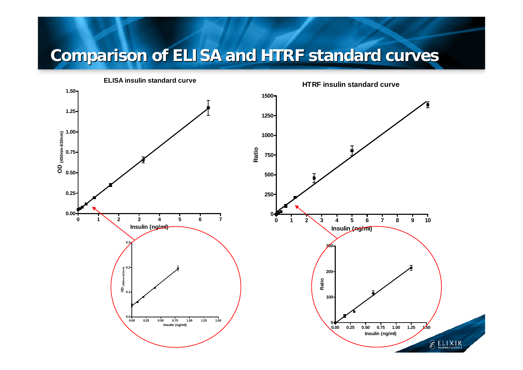## **Comparison of ELISA and HTRF standard curves**

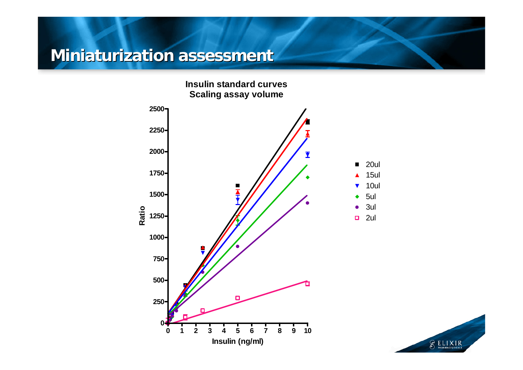#### **Miniaturization assessment Miniaturization assessment**

**Insulin standard curves Scaling assay volume**



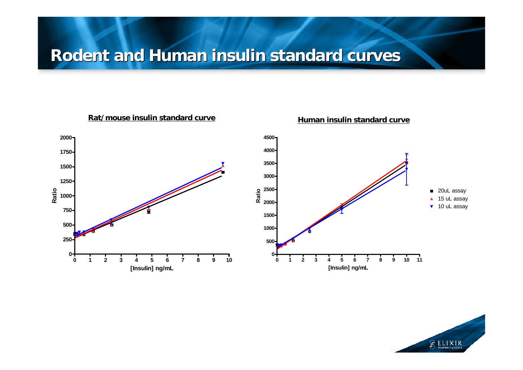#### **Rodent and Human insulin standard curves Rodent and Human insulin standard curves**



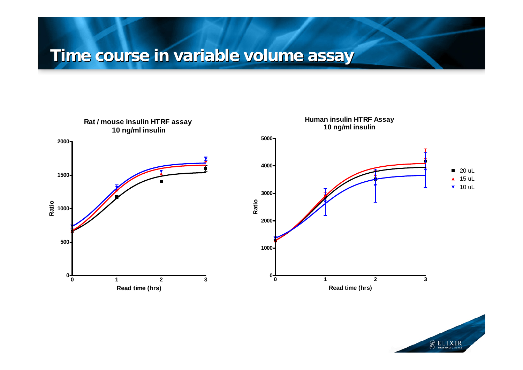### **Time course in variable volume assay Time course in variable volume assay**



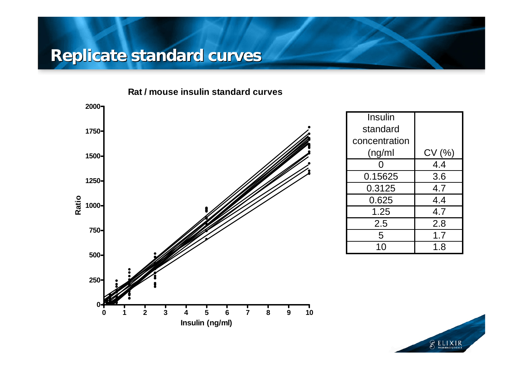#### **Replicate standard curves Replicate standard curves**





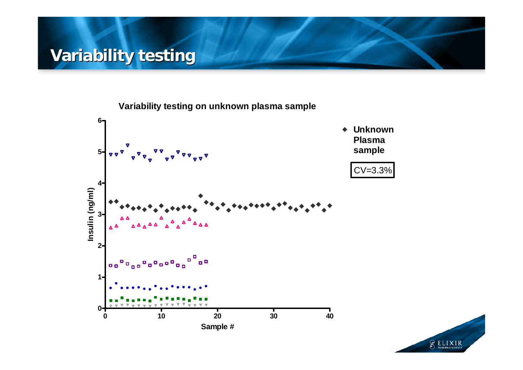### **Variability testing Variability testing**

**Variability testing on unknown plasma sample**



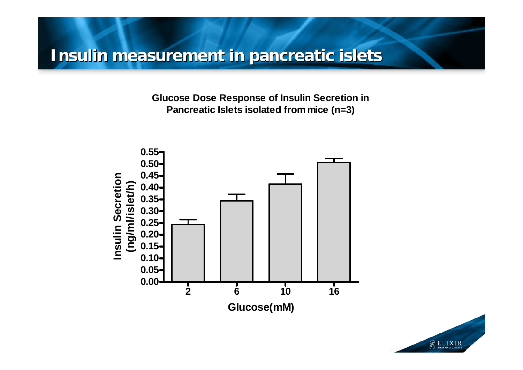#### **Insulin measurement in pancreatic islets Insulin measurement in pancreatic islets**

**Glucose Dose Response of Insulin Secretion in Pancreatic Islets isolated from mice (n=3)**



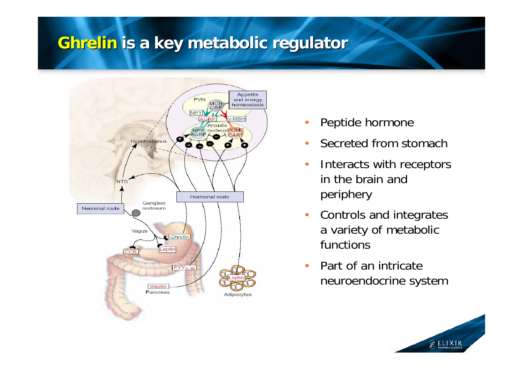#### **Ghrelin Ghrelin is a key metabolic regulator is a key metabolic regulator**



- •Peptide hormone
- •Secreted from stomach
- • Interacts with receptors in the brain and periphery
- • Controls and integrates a variety of metabolic functions
- • Part of an intricate neuroendocrine system

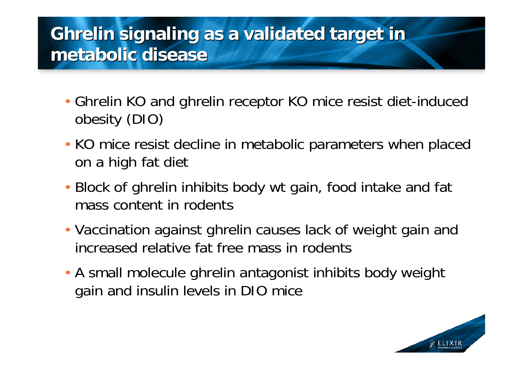## **Ghrelin signaling as a validated target in Ghrelin signaling as a validated target in metabolic disease metabolic disease**

- Ghrelin KO and ghrelin receptor KO mice resist diet-induced obesity (DIO)
- KO mice resist decline in metabolic parameters when placed on a high fat diet
- Block of ghrelin inhibits body wt gain, food intake and fat mass content in rodents
- Vaccination against ghrelin causes lack of weight gain and increased relative fat free mass in rodents
- A small molecule ghrelin antagonist inhibits body weight gain and insulin levels in DIO mice

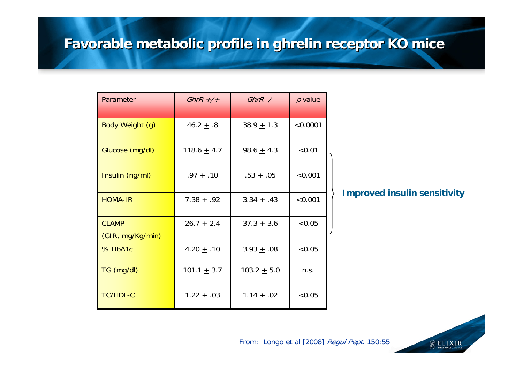#### **Favorable metabolic profile in ghrelin receptor KO mice Favorable metabolic profile in ghrelin receptor KO mice**

| Parameter        | GhrR $+/+$      | $GhrR$ -/-      | $p$ value |
|------------------|-----------------|-----------------|-----------|
|                  |                 |                 |           |
| Body Weight (g)  | 46.2 $\pm$ .8   | $38.9 + 1.3$    | < 0.0001  |
| Glucose (mg/dl)  | 118.6 $\pm$ 4.7 | 98.6 $\pm$ 4.3  | < 0.01    |
| Insulin (ng/ml)  | .97 $\pm$ .10   | .53 $\pm$ .05   | < 0.001   |
| <b>HOMA-IR</b>   | 7.38 $\pm$ .92  | 3.34 $\pm$ .43  | < 0.001   |
| <b>CLAMP</b>     | 26.7 $\pm$ 2.4  | $37.3 + 3.6$    | < 0.05    |
| (GIR, mg/Kg/min) |                 |                 |           |
| % HbA1c          | 4.20 $\pm$ .10  | $3.93 \pm .08$  | < 0.05    |
| TG (mg/dl)       | 101.1 $\pm$ 3.7 | 103.2 $\pm$ 5.0 | n.s.      |
| <b>TC/HDL-C</b>  | 1.22 $\pm$ .03  | 1.14 $\pm$ .02  | < 0.05    |

#### **Improved insulin sensitivity**



From: Longo et al [2008] Regul Pept. 150:55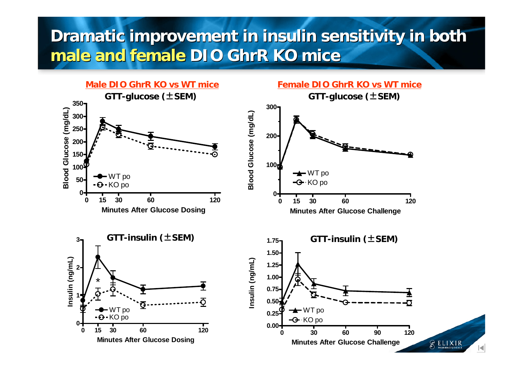### **Dramatic improvement in insulin sensitivity in both Dramatic improvement in insulin sensitivity in both male and female DIO GhrR KO mice male and female DIO GhrR KO mice**

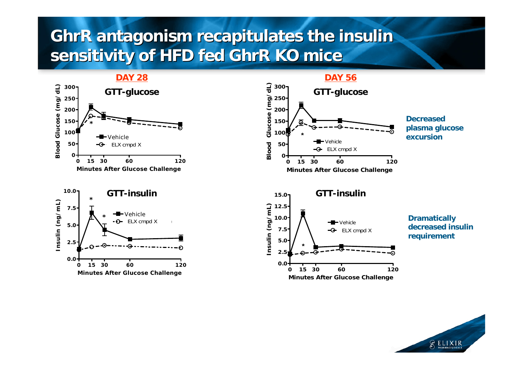### **GhrR antagonism recapitulates the insulin GhrR antagonism recapitulates the insulin sensitivity of HFD fed GhrR KO mice sensitivity of HFD fed GhrR KO mice**





 **DAY 56 GTT-glucose GTT-glucose Blood Glucose (mg/dL) 300250 200**Glucose **Decreased 150plasma glucose 100 \*excursionVehicle Blood 50**ELX cmpd X **00 15 30 60 120 Minutes After Glucose Challenge GTT-insulin GTT-insulin15.0** Insulin (ng/mL) **Insulin (ng/mL) 12.5 Dramatically 10.0** Vehicle**7.5** ELX cmpd X **requirement 5.0 \***



**decreased insulin** 

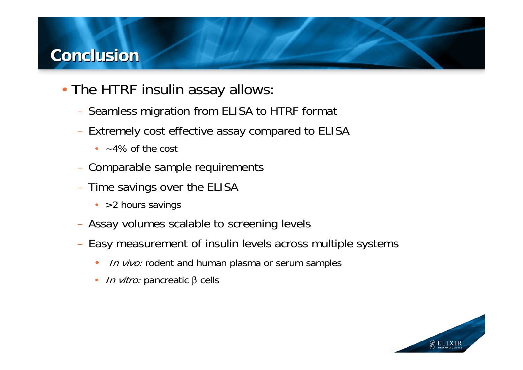#### **Conclusion Conclusion**

- The HTRF insulin assay allows:
	- Seamless migration from ELISA to HTRF format
	- Extremely cost effective assay compared to ELISA
		- $\cdot$   $-4\%$  of the cost
	- Comparable sample requirements
	- Time savings over the ELISA
		- > 2 hours savings
	- Assay volumes scalable to screening levels
	- Easy measurement of insulin levels across multiple systems
		- •In vivo: rodent and human plasma or serum samples
		- •*In vitro:* pancreatic  $β$  cells